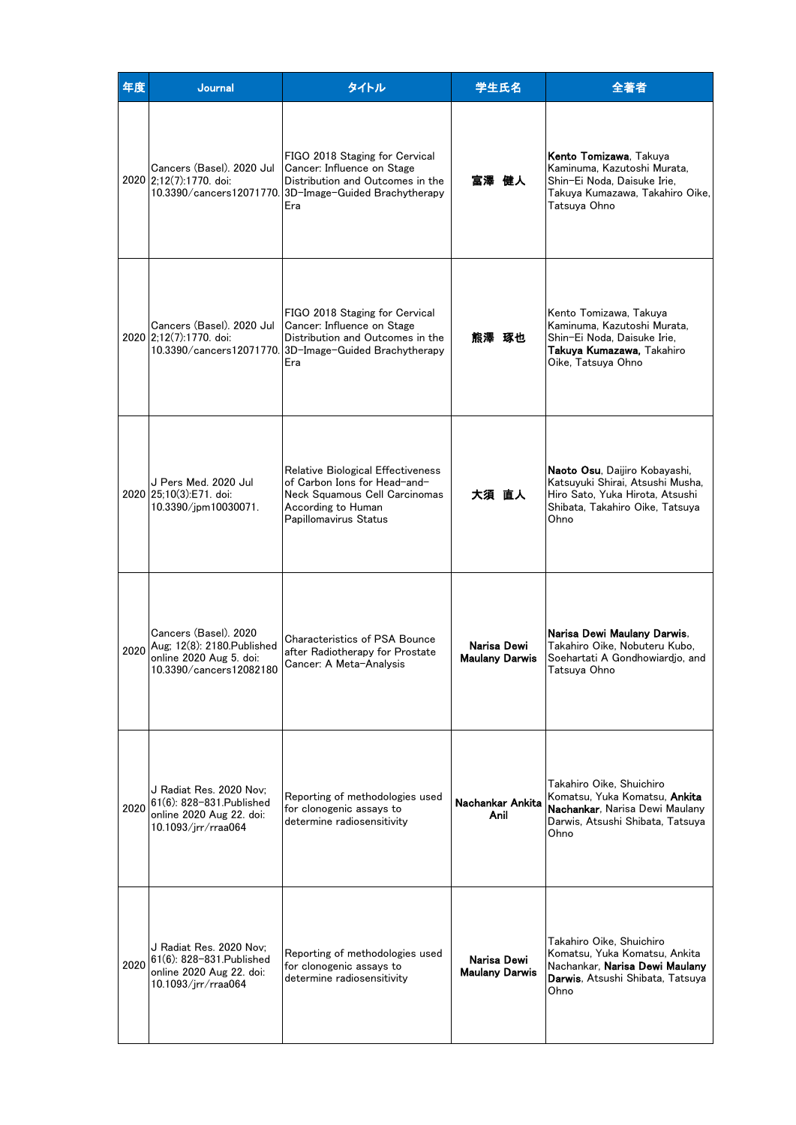| 年度   | <b>Journal</b>                                                                                                 | タイトル                                                                                                                                                              | 学生氏名                                 | 全著者                                                                                                                                                    |
|------|----------------------------------------------------------------------------------------------------------------|-------------------------------------------------------------------------------------------------------------------------------------------------------------------|--------------------------------------|--------------------------------------------------------------------------------------------------------------------------------------------------------|
|      | Cancers (Basel), 2020 Jul<br>2020 2;12(7):1770. doi:                                                           | FIGO 2018 Staging for Cervical<br>Cancer: Influence on Stage<br>Distribution and Outcomes in the<br>10.3390/cancers12071770. 3D-Image-Guided Brachytherapy<br>Era | 冨澤 健人                                | Kento Tomizawa, Takuya<br>Kaminuma, Kazutoshi Murata,<br>Shin-Ei Noda, Daisuke Irie,<br>Takuya Kumazawa, Takahiro Oike,<br>Tatsuya Ohno                |
|      | Cancers (Basel). 2020 Jul<br>2020 2:12(7):1770. doi:                                                           | FIGO 2018 Staging for Cervical<br>Cancer: Influence on Stage<br>Distribution and Outcomes in the<br>10.3390/cancers12071770. 3D-Image-Guided Brachytherapy<br>Era | 熊澤 琢也                                | Kento Tomizawa, Takuya<br>Kaminuma, Kazutoshi Murata,<br>Shin-Ei Noda, Daisuke Irie,<br>Takuya Kumazawa, Takahiro<br>Oike, Tatsuya Ohno                |
|      | J Pers Med. 2020 Jul<br>2020 25:10(3):E71. doi:<br>10.3390/jpm10030071.                                        | Relative Biological Effectiveness<br>of Carbon Ions for Head-and-<br>Neck Squamous Cell Carcinomas<br>According to Human<br>Papillomavirus Status                 | 大須 直人                                | Naoto Osu, Daijiro Kobayashi,<br>Katsuyuki Shirai, Atsushi Musha,<br>Hiro Sato, Yuka Hirota, Atsushi<br>Shibata, Takahiro Oike, Tatsuya<br>Ohno        |
|      | Cancers (Basel). 2020<br>2020 Aug; 12(8): 2180 Published<br>online 2020 Aug 5. doi:<br>10.3390/cancers12082180 | Characteristics of PSA Bounce<br>after Radiotherapy for Prostate<br>Cancer: A Meta-Analysis                                                                       | Narisa Dewi<br><b>Maulany Darwis</b> | Narisa Dewi Maulany Darwis.<br>Takahiro Oike, Nobuteru Kubo,<br>Soehartati A Gondhowiardio, and<br>Tatsuva Ohno                                        |
| 2020 | J Radiat Res. 2020 Nov;<br>61(6): 828-831. Published<br>online 2020 Aug 22. doi:<br>10.1093/jrr/rraa064        | Reporting of methodologies used<br>for clonogenic assays to<br>determine radiosensitivity                                                                         | Nachankar Ankita<br>Anil             | Takahiro Oike, Shuichiro<br>Komatsu. Yuka Komatsu. <b>Ankita</b><br><b>Nachankar</b> . Narisa Dewi Maulanv<br>Darwis, Atsushi Shibata, Tatsuva<br>Ohno |
| 2020 | J Radiat Res. 2020 Nov:<br>61(6): 828-831. Published<br>online 2020 Aug 22. doi:<br>10.1093/jrr/rraa064        | Reporting of methodologies used<br>for clonogenic assays to<br>determine radiosensitivity                                                                         | Narisa Dewi<br><b>Maulany Darwis</b> | Takahiro Oike, Shuichiro<br>Komatsu, Yuka Komatsu, Ankita<br>Nachankar. <b>Narisa Dewi Maulany</b><br><b>Darwis</b> , Atsushi Shibata, Tatsuya<br>Ohno |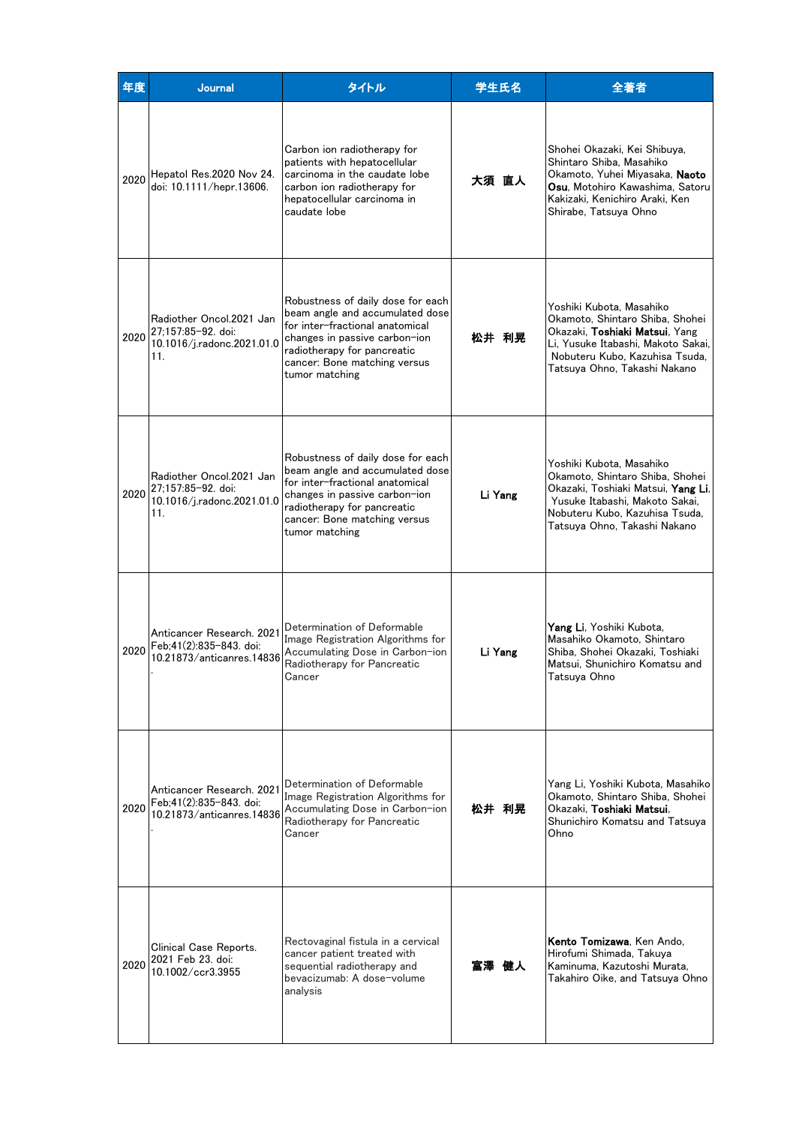| 年度   | <b>Journal</b>                                                                           | タイトル                                                                                                                                                                                                                      | 学生氏名    | 全著者                                                                                                                                                                                                           |
|------|------------------------------------------------------------------------------------------|---------------------------------------------------------------------------------------------------------------------------------------------------------------------------------------------------------------------------|---------|---------------------------------------------------------------------------------------------------------------------------------------------------------------------------------------------------------------|
| 2020 | Hepatol Res.2020 Nov 24.<br>doi: 10.1111/hepr.13606.                                     | Carbon ion radiotherapy for<br>patients with hepatocellular<br>carcinoma in the caudate lobe<br>carbon ion radiotherapy for<br>hepatocellular carcinoma in<br>caudate lobe                                                | 大須 直人   | Shohei Okazaki, Kei Shibuva,<br>Shintaro Shiba, Masahiko<br>Okamoto, Yuhei Miyasaka, <b>Naoto</b><br><b>Osu</b> , Motohiro Kawashima, Satoru<br>Kakizaki, Kenichiro Araki, Ken<br>Shirabe, Tatsuva Ohno       |
|      | Radiother Oncol.2021 Jan<br>2020 27;157:85-92. doi:<br>10.1016/j.radonc.2021.01.0<br>11. | Robustness of daily dose for each<br>beam angle and accumulated dose<br>for inter-fractional anatomical<br>changes in passive carbon-ion<br>radiotherapy for pancreatic<br>cancer: Bone matching versus<br>tumor matching | 松井 利晃   | Yoshiki Kubota, Masahiko<br>Okamoto, Shintaro Shiba, Shohei<br>Okazaki, <b>Toshiaki Matsui</b> , Yang<br>Li. Yusuke Itabashi. Makoto Sakai.<br>Nobuteru Kubo, Kazuhisa Tsuda,<br>Tatsuya Ohno, Takashi Nakano |
| 2020 | Radiother Oncol.2021 Jan<br>27;157:85-92. doi:<br>10.1016/j.radonc.2021.01.0<br>11.      | Robustness of daily dose for each<br>beam angle and accumulated dose<br>for inter-fractional anatomical<br>changes in passive carbon-ion<br>radiotherapy for pancreatic<br>cancer: Bone matching versus<br>tumor matching | Li Yang | Yoshiki Kubota, Masahiko<br>Okamoto, Shintaro Shiba, Shohei<br>Okazaki, Toshiaki Matsui, <b>Yang Li</b> ,<br>Yusuke Itabashi, Makoto Sakai,<br>Nobuteru Kubo, Kazuhisa Tsuda,<br>Tatsuya Ohno, Takashi Nakano |
| 2020 | Anticancer Research, 2021<br>Feb:41(2):835-843. doi:<br>10.21873/anticanres.14836        | Determination of Deformable<br>Image Registration Algorithms for<br>Accumulating Dose in Carbon-ion<br>Radiotherapy for Pancreatic<br>Cancer                                                                              | Li Yang | <b>Yang Li</b> . Yoshiki Kubota,<br>Masahiko Okamoto, Shintaro<br>Shiba, Shohei Okazaki, Toshiaki<br>Matsui, Shunichiro Komatsu and<br>Tatsuya Ohno                                                           |
| 2020 | Anticancer Research. 2021<br>Feb:41(2):835-843. doi:<br>10.21873/anticanres.14836        | Determination of Deformable<br>Image Registration Algorithms for<br>Accumulating Dose in Carbon-ion<br>Radiotherapy for Pancreatic<br>Cancer                                                                              | 松井 利晃   | Yang Li, Yoshiki Kubota, Masahiko<br>Okamoto, Shintaro Shiba, Shohei<br>Okazaki, Toshiaki Matsui,<br>Shunichiro Komatsu and Tatsuya<br>Ohno                                                                   |
| 2020 | Clinical Case Reports.<br>2021 Feb 23. doi:<br>10.1002/ccr3.3955                         | Rectovaginal fistula in a cervical<br>cancer patient treated with<br>sequential radiotherapy and<br>bevacizumab: A dose-volume<br>analysis                                                                                | 冨澤 健人   | Kento Tomizawa, Ken Ando,<br>Hirofumi Shimada, Takuva<br>Kaminuma, Kazutoshi Murata,<br>Takahiro Oike, and Tatsuya Ohno                                                                                       |